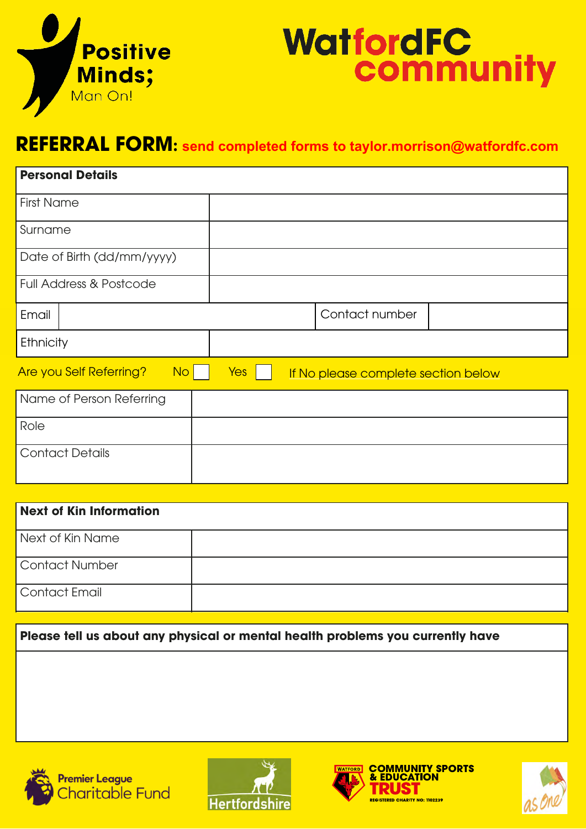

## **WatfordFC<br>community**

## **REFERRAL FORM: send completed forms to taylor.morrison@watfordfc.com REFERRAL FORM**

| <b>Personal Details</b>              |     |  |                                     |  |  |
|--------------------------------------|-----|--|-------------------------------------|--|--|
| <b>First Name</b>                    |     |  |                                     |  |  |
| Surname                              |     |  |                                     |  |  |
| Date of Birth (dd/mm/yyyy)           |     |  |                                     |  |  |
| <b>Full Address &amp; Postcode</b>   |     |  |                                     |  |  |
| Email                                |     |  | Contact number                      |  |  |
| Ethnicity                            |     |  |                                     |  |  |
| Are you Self Referring?<br><b>No</b> | Yes |  | If No please complete section below |  |  |
| Name of Person Referring             |     |  |                                     |  |  |
| Role                                 |     |  |                                     |  |  |
| <b>Contact Details</b>               |     |  |                                     |  |  |

| Next of Kin Information |  |
|-------------------------|--|
| Next of Kin Name        |  |
| Contact Number          |  |
| Contact Email           |  |
|                         |  |

**Please tell us about any physical or mental health problems you currently have Please tell us about any physical or mental health problems you currently have**



Next of Kin Name

Ethnicity